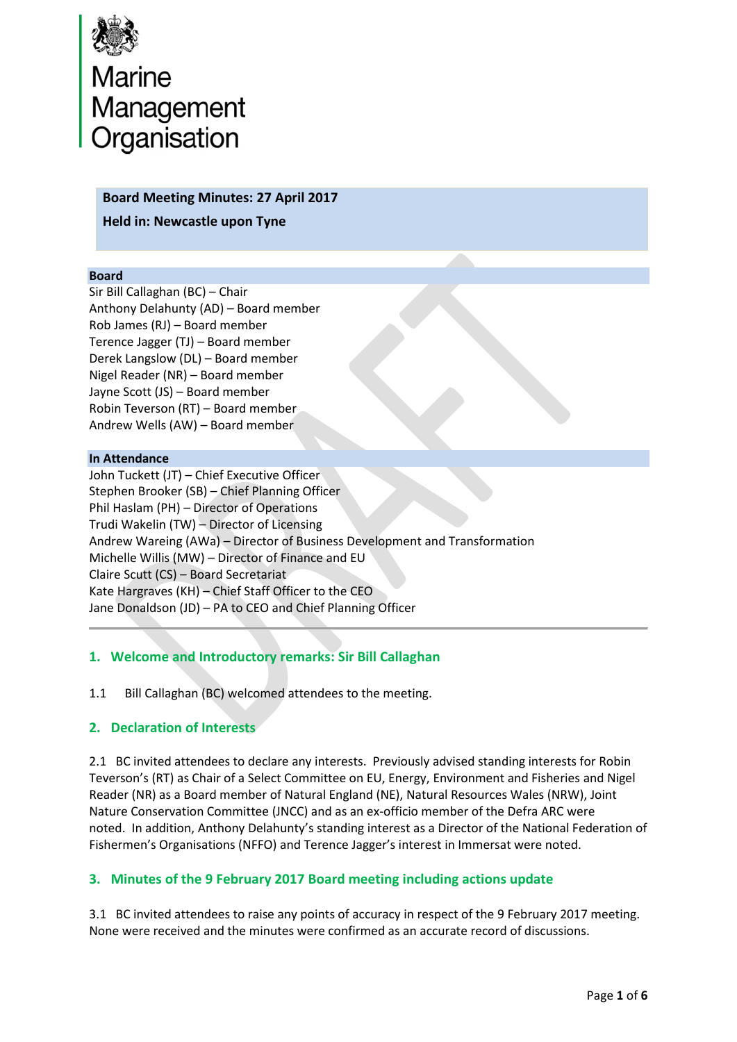

# Marine<br>Management<br>Organisation

#### **Board Meeting Minutes: 27 April 2017**

**Held in: Newcastle upon Tyne**

#### **Board**

Sir Bill Callaghan (BC) – Chair Anthony Delahunty (AD) – Board member Rob James (RJ) – Board member Terence Jagger (TJ) – Board member Derek Langslow (DL) – Board member Nigel Reader (NR) – Board member Jayne Scott (JS) – Board member Robin Teverson (RT) – Board member Andrew Wells (AW) – Board member

#### **In Attendance**

John Tuckett (JT) – Chief Executive Officer Stephen Brooker (SB) – Chief Planning Officer Phil Haslam (PH) – Director of Operations Trudi Wakelin (TW) – Director of Licensing Andrew Wareing (AWa) – Director of Business Development and Transformation Michelle Willis (MW) – Director of Finance and EU Claire Scutt (CS) – Board Secretariat Kate Hargraves (KH) – Chief Staff Officer to the CEO Jane Donaldson (JD) – PA to CEO and Chief Planning Officer

# **1. Welcome and Introductory remarks: Sir Bill Callaghan**

1.1 Bill Callaghan (BC) welcomed attendees to the meeting.

## **2. Declaration of Interests**

2.1 BC invited attendees to declare any interests. Previously advised standing interests for Robin Teverson's (RT) as Chair of a Select Committee on EU, Energy, Environment and Fisheries and Nigel Reader (NR) as a Board member of Natural England (NE), Natural Resources Wales (NRW), Joint Nature Conservation Committee (JNCC) and as an ex-officio member of the Defra ARC were noted. In addition, Anthony Delahunty's standing interest as a Director of the National Federation of Fishermen's Organisations (NFFO) and Terence Jagger's interest in Immersat were noted.

## **3. Minutes of the 9 February 2017 Board meeting including actions update**

3.1 BC invited attendees to raise any points of accuracy in respect of the 9 February 2017 meeting. None were received and the minutes were confirmed as an accurate record of discussions.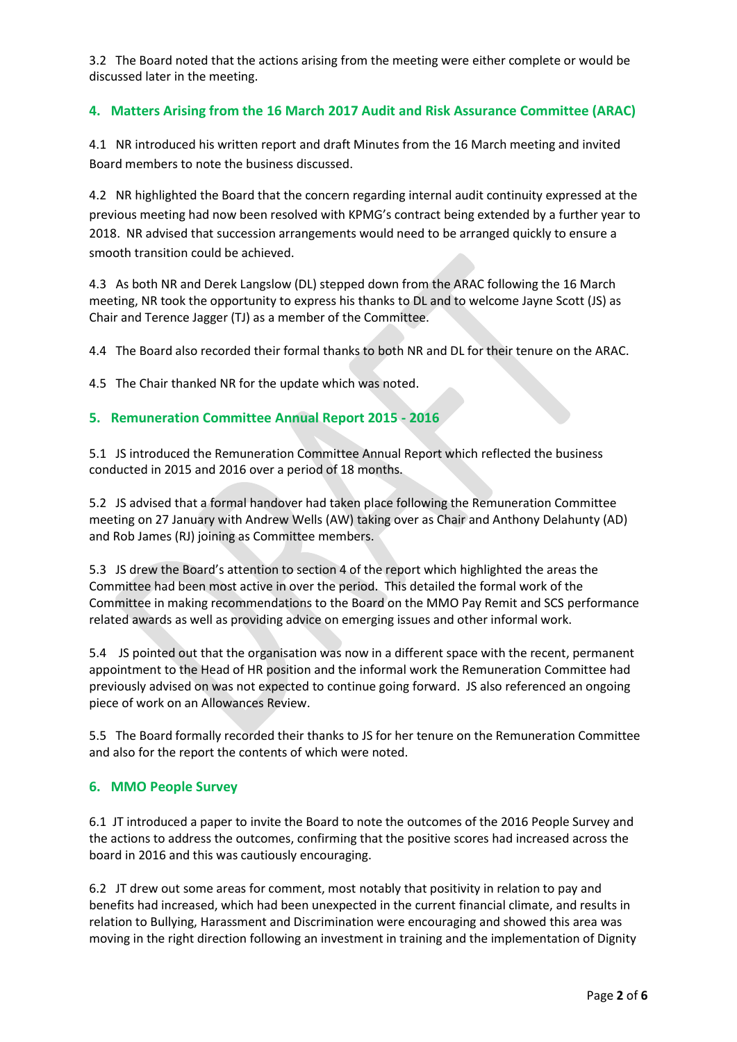3.2 The Board noted that the actions arising from the meeting were either complete or would be discussed later in the meeting.

## **4. Matters Arising from the 16 March 2017 Audit and Risk Assurance Committee (ARAC)**

4.1 NR introduced his written report and draft Minutes from the 16 March meeting and invited Board members to note the business discussed.

4.2 NR highlighted the Board that the concern regarding internal audit continuity expressed at the previous meeting had now been resolved with KPMG's contract being extended by a further year to 2018. NR advised that succession arrangements would need to be arranged quickly to ensure a smooth transition could be achieved.

4.3 As both NR and Derek Langslow (DL) stepped down from the ARAC following the 16 March meeting, NR took the opportunity to express his thanks to DL and to welcome Jayne Scott (JS) as Chair and Terence Jagger (TJ) as a member of the Committee.

4.4 The Board also recorded their formal thanks to both NR and DL for their tenure on the ARAC.

4.5 The Chair thanked NR for the update which was noted.

## **5. Remuneration Committee Annual Report 2015 - 2016**

5.1 JS introduced the Remuneration Committee Annual Report which reflected the business conducted in 2015 and 2016 over a period of 18 months.

5.2 JS advised that a formal handover had taken place following the Remuneration Committee meeting on 27 January with Andrew Wells (AW) taking over as Chair and Anthony Delahunty (AD) and Rob James (RJ) joining as Committee members.

5.3 JS drew the Board's attention to section 4 of the report which highlighted the areas the Committee had been most active in over the period. This detailed the formal work of the Committee in making recommendations to the Board on the MMO Pay Remit and SCS performance related awards as well as providing advice on emerging issues and other informal work.

5.4 JS pointed out that the organisation was now in a different space with the recent, permanent appointment to the Head of HR position and the informal work the Remuneration Committee had previously advised on was not expected to continue going forward. JS also referenced an ongoing piece of work on an Allowances Review.

5.5 The Board formally recorded their thanks to JS for her tenure on the Remuneration Committee and also for the report the contents of which were noted.

#### **6. MMO People Survey**

6.1 JT introduced a paper to invite the Board to note the outcomes of the 2016 People Survey and the actions to address the outcomes, confirming that the positive scores had increased across the board in 2016 and this was cautiously encouraging.

6.2 JT drew out some areas for comment, most notably that positivity in relation to pay and benefits had increased, which had been unexpected in the current financial climate, and results in relation to Bullying, Harassment and Discrimination were encouraging and showed this area was moving in the right direction following an investment in training and the implementation of Dignity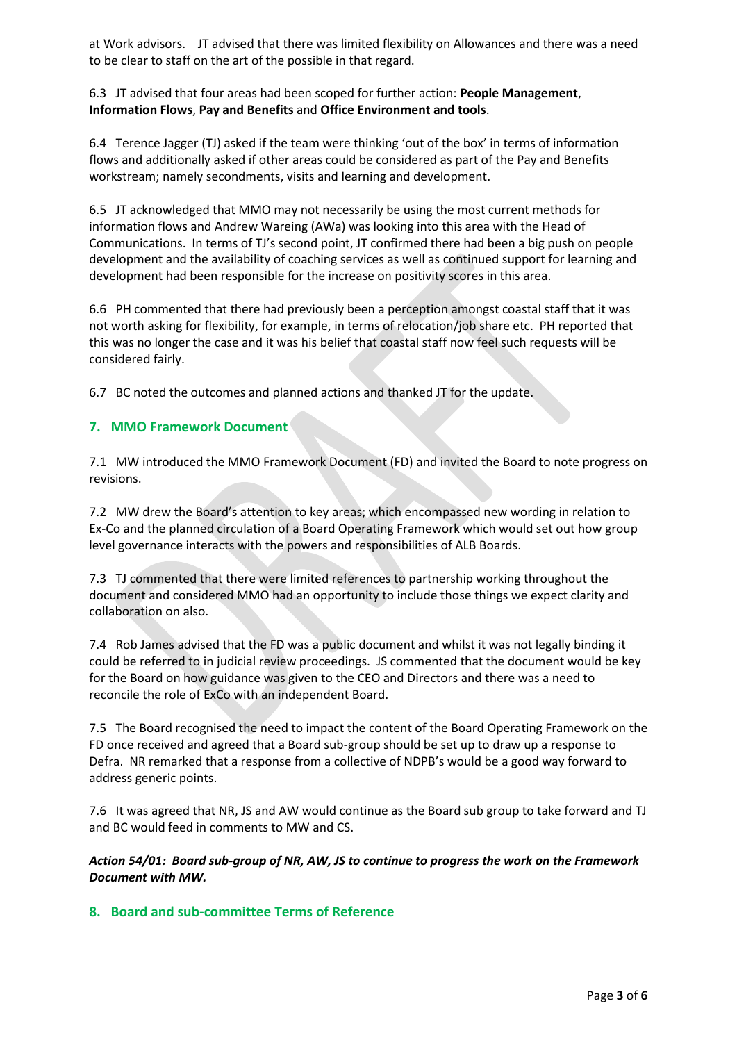at Work advisors. JT advised that there was limited flexibility on Allowances and there was a need to be clear to staff on the art of the possible in that regard.

#### 6.3 JT advised that four areas had been scoped for further action: **People Management**, **Information Flows**, **Pay and Benefits** and **Office Environment and tools**.

6.4 Terence Jagger (TJ) asked if the team were thinking 'out of the box' in terms of information flows and additionally asked if other areas could be considered as part of the Pay and Benefits workstream; namely secondments, visits and learning and development.

6.5 JT acknowledged that MMO may not necessarily be using the most current methods for information flows and Andrew Wareing (AWa) was looking into this area with the Head of Communications. In terms of TJ's second point, JT confirmed there had been a big push on people development and the availability of coaching services as well as continued support for learning and development had been responsible for the increase on positivity scores in this area.

6.6 PH commented that there had previously been a perception amongst coastal staff that it was not worth asking for flexibility, for example, in terms of relocation/job share etc. PH reported that this was no longer the case and it was his belief that coastal staff now feel such requests will be considered fairly.

6.7 BC noted the outcomes and planned actions and thanked JT for the update.

## **7. MMO Framework Document**

7.1 MW introduced the MMO Framework Document (FD) and invited the Board to note progress on revisions.

7.2 MW drew the Board's attention to key areas; which encompassed new wording in relation to Ex-Co and the planned circulation of a Board Operating Framework which would set out how group level governance interacts with the powers and responsibilities of ALB Boards.

7.3 TJ commented that there were limited references to partnership working throughout the document and considered MMO had an opportunity to include those things we expect clarity and collaboration on also.

7.4 Rob James advised that the FD was a public document and whilst it was not legally binding it could be referred to in judicial review proceedings. JS commented that the document would be key for the Board on how guidance was given to the CEO and Directors and there was a need to reconcile the role of ExCo with an independent Board.

7.5 The Board recognised the need to impact the content of the Board Operating Framework on the FD once received and agreed that a Board sub-group should be set up to draw up a response to Defra. NR remarked that a response from a collective of NDPB's would be a good way forward to address generic points.

7.6 It was agreed that NR, JS and AW would continue as the Board sub group to take forward and TJ and BC would feed in comments to MW and CS.

*Action 54/01: Board sub-group of NR, AW, JS to continue to progress the work on the Framework Document with MW.*

#### **8. Board and sub-committee Terms of Reference**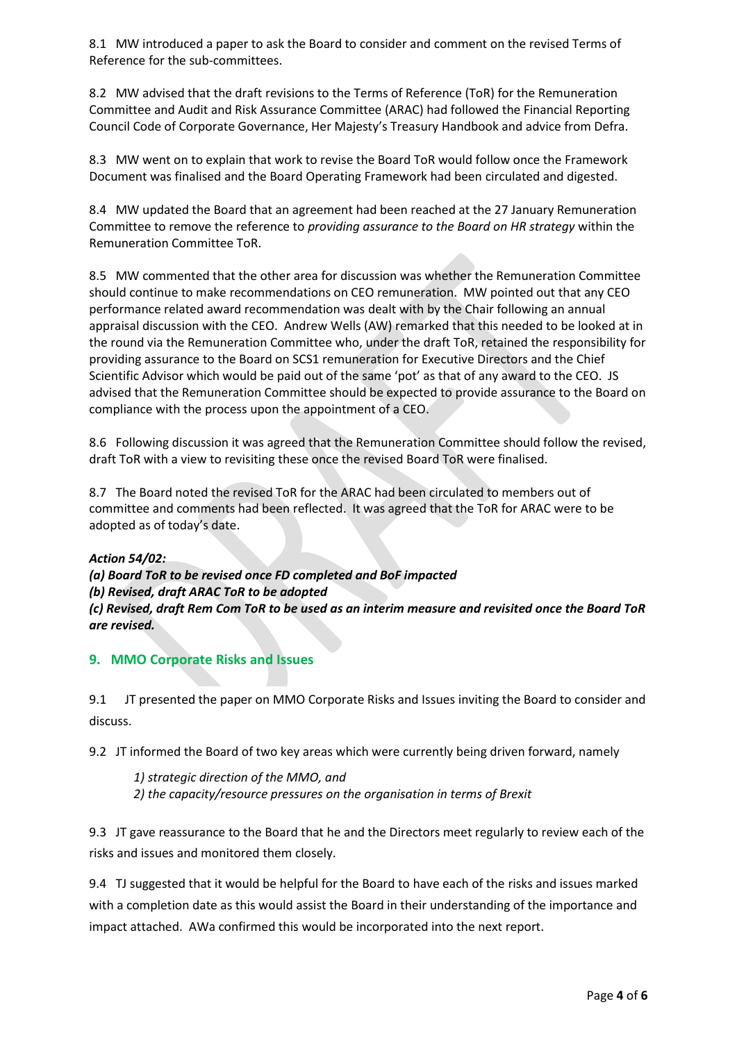8.1 MW introduced a paper to ask the Board to consider and comment on the revised Terms of Reference for the sub-committees.

8.2 MW advised that the draft revisions to the Terms of Reference (ToR) for the Remuneration Committee and Audit and Risk Assurance Committee (ARAC) had followed the Financial Reporting Council Code of Corporate Governance, Her Majesty's Treasury Handbook and advice from Defra.

8.3 MW went on to explain that work to revise the Board ToR would follow once the Framework Document was finalised and the Board Operating Framework had been circulated and digested.

8.4 MW updated the Board that an agreement had been reached at the 27 January Remuneration Committee to remove the reference to *providing assurance to the Board on HR strategy* within the Remuneration Committee ToR.

8.5 MW commented that the other area for discussion was whether the Remuneration Committee should continue to make recommendations on CEO remuneration. MW pointed out that any CEO performance related award recommendation was dealt with by the Chair following an annual appraisal discussion with the CEO. Andrew Wells (AW) remarked that this needed to be looked at in the round via the Remuneration Committee who, under the draft ToR, retained the responsibility for providing assurance to the Board on SCS1 remuneration for Executive Directors and the Chief Scientific Advisor which would be paid out of the same 'pot' as that of any award to the CEO. JS advised that the Remuneration Committee should be expected to provide assurance to the Board on compliance with the process upon the appointment of a CEO.

8.6 Following discussion it was agreed that the Remuneration Committee should follow the revised, draft ToR with a view to revisiting these once the revised Board ToR were finalised.

8.7 The Board noted the revised ToR for the ARAC had been circulated to members out of committee and comments had been reflected. It was agreed that the ToR for ARAC were to be adopted as of today's date.

#### *Action 54/02:*

*(a) Board ToR to be revised once FD completed and BoF impacted (b) Revised, draft ARAC ToR to be adopted (c) Revised, draft Rem Com ToR to be used as an interim measure and revisited once the Board ToR are revised.*

**9. MMO Corporate Risks and Issues** 

9.1 JT presented the paper on MMO Corporate Risks and Issues inviting the Board to consider and discuss.

9.2 JT informed the Board of two key areas which were currently being driven forward, namely

*1) strategic direction of the MMO, and 2) the capacity/resource pressures on the organisation in terms of Brexit*

9.3 JT gave reassurance to the Board that he and the Directors meet regularly to review each of the risks and issues and monitored them closely.

9.4 TJ suggested that it would be helpful for the Board to have each of the risks and issues marked with a completion date as this would assist the Board in their understanding of the importance and impact attached. AWa confirmed this would be incorporated into the next report.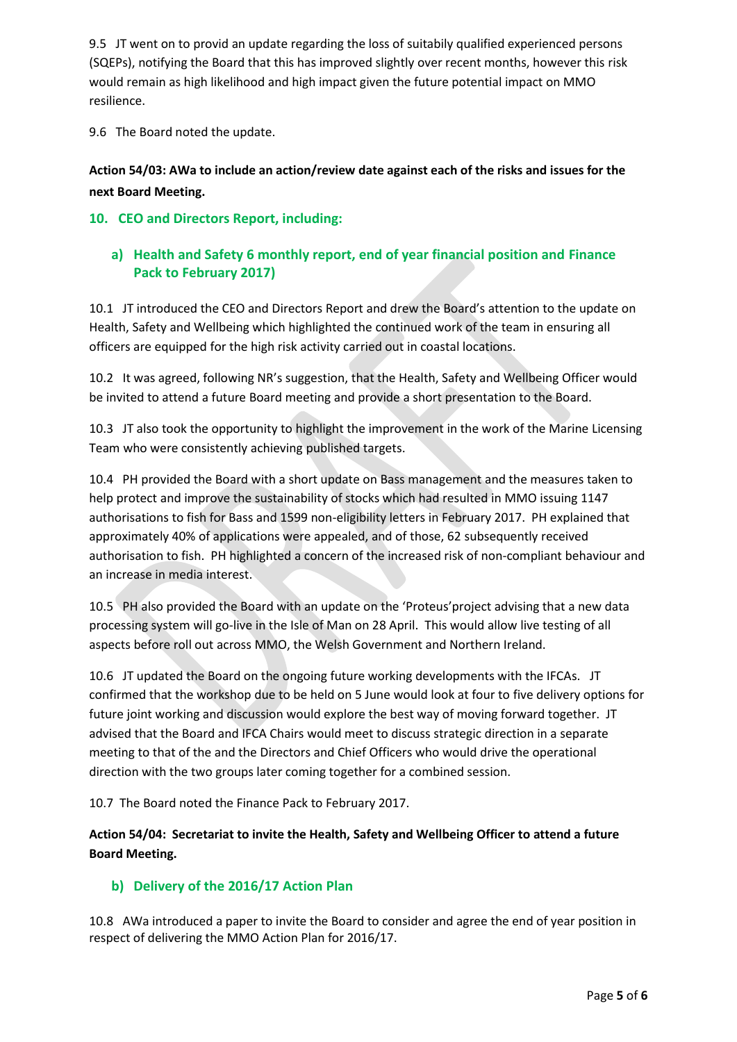9.5 JT went on to provid an update regarding the loss of suitabily qualified experienced persons (SQEPs), notifying the Board that this has improved slightly over recent months, however this risk would remain as high likelihood and high impact given the future potential impact on MMO resilience.

9.6 The Board noted the update.

# **Action 54/03: AWa to include an action/review date against each of the risks and issues for the next Board Meeting.**

# **10. CEO and Directors Report, including:**

# **a) Health and Safety 6 monthly report, end of year financial position and Finance Pack to February 2017)**

10.1 JT introduced the CEO and Directors Report and drew the Board's attention to the update on Health, Safety and Wellbeing which highlighted the continued work of the team in ensuring all officers are equipped for the high risk activity carried out in coastal locations.

10.2 It was agreed, following NR's suggestion, that the Health, Safety and Wellbeing Officer would be invited to attend a future Board meeting and provide a short presentation to the Board.

10.3 JT also took the opportunity to highlight the improvement in the work of the Marine Licensing Team who were consistently achieving published targets.

10.4 PH provided the Board with a short update on Bass management and the measures taken to help protect and improve the sustainability of stocks which had resulted in MMO issuing 1147 authorisations to fish for Bass and 1599 non-eligibility letters in February 2017. PH explained that approximately 40% of applications were appealed, and of those, 62 subsequently received authorisation to fish. PH highlighted a concern of the increased risk of non-compliant behaviour and an increase in media interest.

10.5 PH also provided the Board with an update on the 'Proteus'project advising that a new data processing system will go-live in the Isle of Man on 28 April. This would allow live testing of all aspects before roll out across MMO, the Welsh Government and Northern Ireland.

10.6 JT updated the Board on the ongoing future working developments with the IFCAs. JT confirmed that the workshop due to be held on 5 June would look at four to five delivery options for future joint working and discussion would explore the best way of moving forward together. JT advised that the Board and IFCA Chairs would meet to discuss strategic direction in a separate meeting to that of the and the Directors and Chief Officers who would drive the operational direction with the two groups later coming together for a combined session.

10.7 The Board noted the Finance Pack to February 2017.

**Action 54/04: Secretariat to invite the Health, Safety and Wellbeing Officer to attend a future Board Meeting.**

# **b) Delivery of the 2016/17 Action Plan**

10.8 AWa introduced a paper to invite the Board to consider and agree the end of year position in respect of delivering the MMO Action Plan for 2016/17.